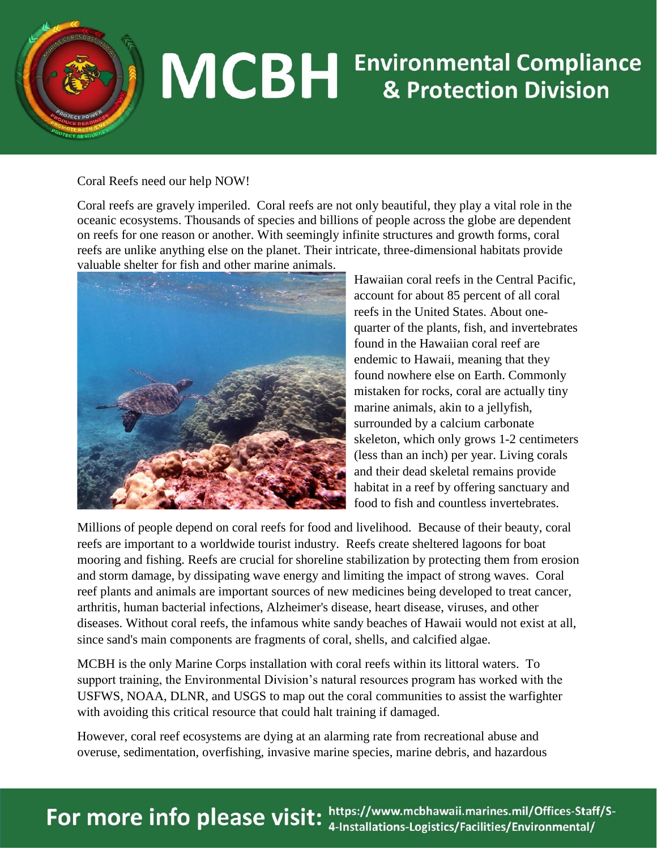

## **MCBH** Environmental Compliance

## Coral Reefs need our help NOW!

Coral reefs are gravely imperiled. Coral reefs are not only beautiful, they play a vital role in the oceanic ecosystems. Thousands of species and billions of people across the globe are dependent on reefs for one reason or another. With seemingly infinite structures and growth forms, coral reefs are unlike anything else on the planet. Their intricate, three-dimensional habitats provide valuable shelter for fish and other marine animals.



Hawaiian coral reefs in the Central Pacific, account for about 85 percent of all coral reefs in the United States. About onequarter of the plants, fish, and invertebrates found in the Hawaiian coral reef are endemic to Hawaii, meaning that they found nowhere else on Earth. Commonly mistaken for rocks, coral are actually tiny marine animals, akin to a jellyfish, surrounded by a calcium carbonate skeleton, which only grows 1-2 centimeters (less than an inch) per year. Living corals and their dead skeletal remains provide habitat in a reef by offering sanctuary and food to fish and countless invertebrates.

Millions of people depend on coral reefs for food and livelihood. Because of their beauty, coral reefs are important to a worldwide tourist industry. Reefs create sheltered lagoons for boat mooring and fishing. Reefs are crucial for shoreline stabilization by protecting them from erosion and storm damage, by dissipating wave energy and limiting the impact of strong waves. Coral reef plants and animals are important sources of new medicines being developed to treat cancer, arthritis, human bacterial infections, Alzheimer's disease, heart disease, viruses, and other diseases. Without coral reefs, the infamous white sandy beaches of Hawaii would not exist at all, since sand's main components are fragments of coral, shells, and calcified algae.

MCBH is the only Marine Corps installation with coral reefs within its littoral waters. To support training, the Environmental Division's natural resources program has worked with the USFWS, NOAA, DLNR, and USGS to map out the coral communities to assist the warfighter with avoiding this critical resource that could halt training if damaged.

However, coral reef ecosystems are dying at an alarming rate from recreational abuse and overuse, sedimentation, overfishing, invasive marine species, marine debris, and hazardous